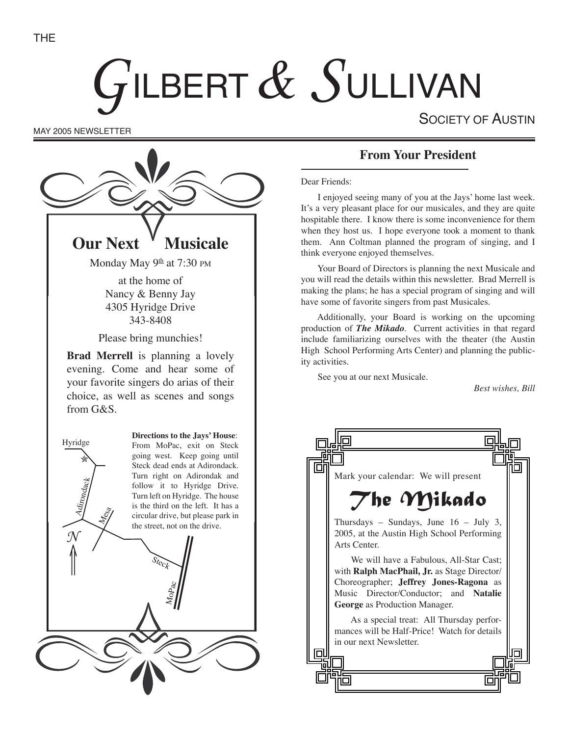# GILBERT  $\&$  SULLIVAN

SOCIETY OF AUSTIN

MAY 2005 NEWSLETTER



## **From Your President**

Dear Friends:

I enjoyed seeing many of you at the Jays' home last week. It's a very pleasant place for our musicales, and they are quite hospitable there. I know there is some inconvenience for them when they host us. I hope everyone took a moment to thank them. Ann Coltman planned the program of singing, and I think everyone enjoyed themselves.

Your Board of Directors is planning the next Musicale and you will read the details within this newsletter. Brad Merrell is making the plans; he has a special program of singing and will have some of favorite singers from past Musicales.

Additionally, your Board is working on the upcoming production of *The Mikado*. Current activities in that regard include familiarizing ourselves with the theater (the Austin High School Performing Arts Center) and planning the publicity activities.

See you at our next Musicale.

*Best wishes, Bill*

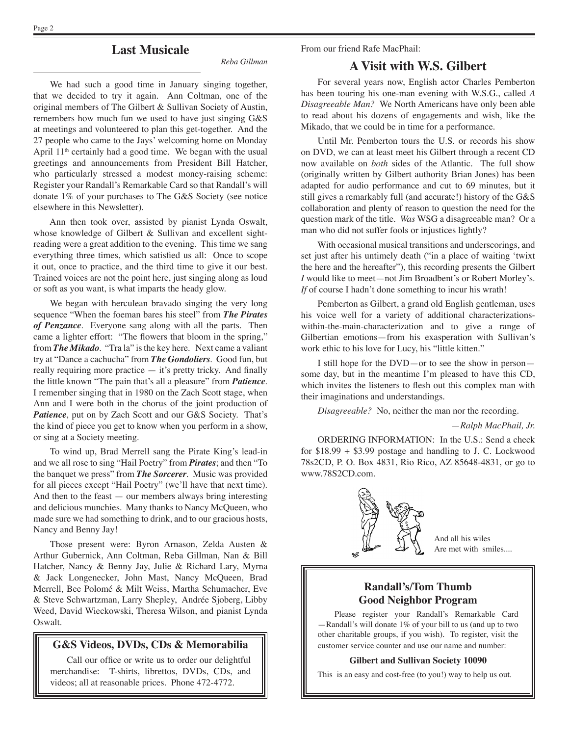From our friend Rafe MacPhail:

## **Last Musicale**

*Reba Gillman*

We had such a good time in January singing together, that we decided to try it again. Ann Coltman, one of the original members of The Gilbert & Sullivan Society of Austin, remembers how much fun we used to have just singing G&S at meetings and volunteered to plan this get-together. And the 27 people who came to the Jays' welcoming home on Monday April  $11<sup>th</sup>$  certainly had a good time. We began with the usual greetings and announcements from President Bill Hatcher, who particularly stressed a modest money-raising scheme: Register your Randall's Remarkable Card so that Randall's will donate 1% of your purchases to The G&S Society (see notice elsewhere in this Newsletter).

Ann then took over, assisted by pianist Lynda Oswalt, whose knowledge of Gilbert & Sullivan and excellent sightreading were a great addition to the evening. This time we sang everything three times, which satisfied us all: Once to scope it out, once to practice, and the third time to give it our best. Trained voices are not the point here, just singing along as loud or soft as you want, is what imparts the heady glow.

We began with herculean bravado singing the very long sequence "When the foeman bares his steel" from *The Pirates of Penzance*. Everyone sang along with all the parts. Then came a lighter effort: "The flowers that bloom in the spring," from *The Mikado*. "Tra la" is the key here. Next came a valiant try at "Dance a cachucha" from *The Gondoliers*. Good fun, but really requiring more practice — it's pretty tricky. And finally the little known "The pain that's all a pleasure" from *Patience*. I remember singing that in 1980 on the Zach Scott stage, when Ann and I were both in the chorus of the joint production of *Patience*, put on by Zach Scott and our G&S Society. That's the kind of piece you get to know when you perform in a show, or sing at a Society meeting.

To wind up, Brad Merrell sang the Pirate King's lead-in and we all rose to sing "Hail Poetry" from *Pirates*; and then "To the banquet we press" from *The Sorcerer*. Music was provided for all pieces except "Hail Poetry" (we'll have that next time). And then to the feast — our members always bring interesting and delicious munchies. Many thanks to Nancy McQueen, who made sure we had something to drink, and to our gracious hosts, Nancy and Benny Jay!

Those present were: Byron Arnason, Zelda Austen & Arthur Gubernick, Ann Coltman, Reba Gillman, Nan & Bill Hatcher, Nancy & Benny Jay, Julie & Richard Lary, Myrna & Jack Longenecker, John Mast, Nancy McQueen, Brad Merrell, Bee Polomé & Milt Weiss, Martha Schumacher, Eve & Steve Schwartzman, Larry Shepley, Andrée Sjoberg, Libby Weed, David Wieckowski, Theresa Wilson, and pianist Lynda Oswalt.

#### **G&S Videos, DVDs, CDs & Memorabilia**

Call our office or write us to order our delightful merchandise: T-shirts, librettos, DVDs, CDs, and videos; all at reasonable prices. Phone 472-4772.

#### **A Visit with W.S. Gilbert**

For several years now, English actor Charles Pemberton has been touring his one-man evening with W.S.G., called *A Disagreeable Man?* We North Americans have only been able to read about his dozens of engagements and wish, like the Mikado, that we could be in time for a performance.

Until Mr. Pemberton tours the U.S. or records his show on DVD, we can at least meet his Gilbert through a recent CD now available on *both* sides of the Atlantic. The full show (originally written by Gilbert authority Brian Jones) has been adapted for audio performance and cut to 69 minutes, but it still gives a remarkably full (and accurate!) history of the G&S collaboration and plenty of reason to question the need for the question mark of the title. *Was* WSG a disagreeable man? Or a man who did not suffer fools or injustices lightly?

With occasional musical transitions and underscorings, and set just after his untimely death ("in a place of waiting ʻtwixt the here and the hereafter"), this recording presents the Gilbert *I* would like to meet—not Jim Broadbent's or Robert Morley's. *If* of course I hadn't done something to incur his wrath!

Pemberton as Gilbert, a grand old English gentleman, uses his voice well for a variety of additional characterizationswithin-the-main-characterization and to give a range of Gilbertian emotions—from his exasperation with Sullivan's work ethic to his love for Lucy, his "little kitten."

I still hope for the DVD—or to see the show in person some day, but in the meantime I'm pleased to have this CD, which invites the listeners to flesh out this complex man with their imaginations and understandings.

*Disagreeable?* No, neither the man nor the recording.

—*Ralph MacPhail, Jr.*

ORDERING INFORMATION: In the U.S.: Send a check for  $$18.99 + $3.99$  postage and handling to J. C. Lockwood 78s2CD, P. O. Box 4831, Rio Rico, AZ 85648-4831, or go to www.78S2CD.com.



And all his wiles Are met with smiles....

#### **Randall's/Tom Thumb Good Neighbor Program**

Please register your Randall's Remarkable Card —Randall's will donate 1% of your bill to us (and up to two other charitable groups, if you wish). To register, visit the customer service counter and use our name and number:

#### **Gilbert and Sullivan Society 10090**

This is an easy and cost-free (to you!) way to help us out.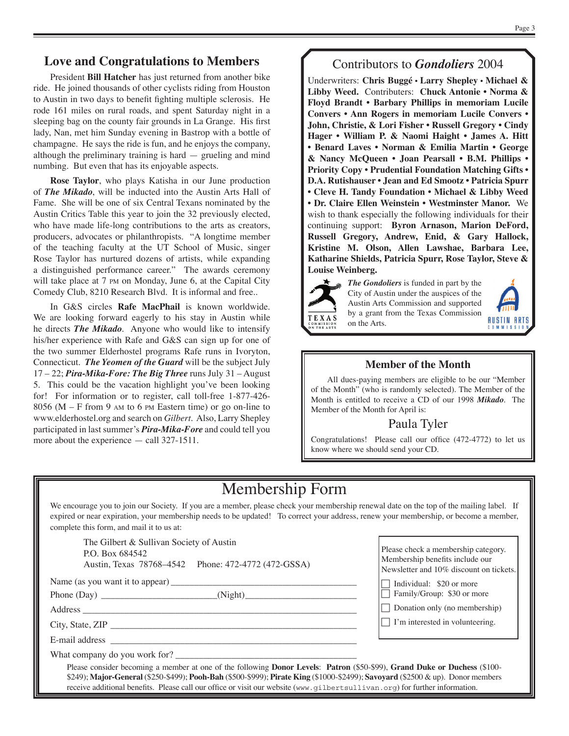### **Love and Congratulations to Members**

President **Bill Hatcher** has just returned from another bike ride. He joined thousands of other cyclists riding from Houston to Austin in two days to benefit fighting multiple sclerosis. He rode 161 miles on rural roads, and spent Saturday night in a sleeping bag on the county fair grounds in La Grange. His first lady, Nan, met him Sunday evening in Bastrop with a bottle of champagne. He says the ride is fun, and he enjoys the company, although the preliminary training is hard — grueling and mind numbing. But even that has its enjoyable aspects.

**Rose Taylor**, who plays Katisha in our June production of *The Mikado*, will be inducted into the Austin Arts Hall of Fame. She will be one of six Central Texans nominated by the Austin Critics Table this year to join the 32 previously elected, who have made life-long contributions to the arts as creators, producers, advocates or philanthropists. "A longtime member of the teaching faculty at the UT School of Music, singer Rose Taylor has nurtured dozens of artists, while expanding a distinguished performance career." The awards ceremony will take place at 7 PM on Monday, June 6, at the Capital City Comedy Club, 8210 Research Blvd. It is informal and free..

In G&S circles **Rafe MacPhail** is known worldwide. We are looking forward eagerly to his stay in Austin while he directs *The Mikado*. Anyone who would like to intensify his/her experience with Rafe and G&S can sign up for one of the two summer Elderhostel programs Rafe runs in Ivoryton, Connecticut. *The Yeomen of the Guard* will be the subject July 17 – 22; *Pira-Mika-Fore: The Big Three* runs July 31 – August 5. This could be the vacation highlight you've been looking for! For information or to register, call toll-free 1-877-426- 8056 (M – F from 9 AM to 6 PM Eastern time) or go on-line to www.elderhostel.org and search on *Gilbert*. Also, Larry Shepley participated in last summer's *Pira-Mika-Fore* and could tell you more about the experience — call 327-1511.

## Contributors to *Gondoliers* 2004

Underwriters: **Chris Buggé • Larry Shepley • Michael & Libby Weed.** Contributers: **Chuck Antonie • Norma & Floyd Brandt • Barbary Phillips in memoriam Lucile Convers • Ann Rogers in memoriam Lucile Convers • John, Christie, & Lori Fisher • Russell Gregory • Cindy Hager • William P. & Naomi Haight • James A. Hitt • Benard Laves • Norman & Emilia Martin • George & Nancy McQueen • Joan Pearsall • B.M. Phillips • Priority Copy • Prudential Foundation Matching Gifts • D.A. Rutishauser • Jean and Ed Smootz • Patricia Spurr • Cleve H. Tandy Foundation • Michael & Libby Weed • Dr. Claire Ellen Weinstein • Westminster Manor.** We wish to thank especially the following individuals for their continuing support: **Byron Arnason, Marion DeFord, Russell Gregory, Andrew, Enid, & Gary Hallock, Kristine M. Olson, Allen Lawshae, Barbara Lee, Katharine Shields, Patricia Spurr, Rose Taylor, Steve & Louise Weinberg.**



*The Gondoliers* is funded in part by the City of Austin under the auspices of the Austin Arts Commission and supported by a grant from the Texas Commission on the Arts.



#### **Member of the Month**

All dues-paying members are eligible to be our "Member of the Month" (who is randomly selected). The Member of the Month is entitled to receive a CD of our 1998 *Mikado*. The Member of the Month for April is:

## Paula Tyler

Congratulations! Please call our office (472-4772) to let us know where we should send your CD.

## Membership Form

We encourage you to join our Society. If you are a member, please check your membership renewal date on the top of the mailing label. If expired or near expiration, your membership needs to be updated! To correct your address, renew your membership, or become a member, complete this form, and mail it to us at:

The Gilbert & Sullivan Society of Austin P.O. Box 684542 Austin, Texas 78768–4542 Phone: 472-4772 (472-GSSA)

Name (as you want it to appear) \_\_\_\_\_\_\_\_\_\_\_\_\_\_\_\_\_\_\_\_\_\_\_\_\_\_\_\_\_\_\_\_\_\_\_\_\_\_\_\_

Phone (Day) \_\_\_\_\_\_\_\_\_\_\_\_\_\_\_\_\_\_\_\_\_\_\_\_\_(Night)\_\_\_\_\_\_\_\_\_\_\_\_\_\_\_\_\_\_\_\_\_\_\_\_

Address \_\_\_\_\_\_\_\_\_\_\_\_\_\_\_\_\_\_\_\_\_\_\_\_\_\_\_\_\_\_\_\_\_\_\_\_\_\_\_\_\_\_\_\_\_\_\_\_\_\_\_\_\_\_\_\_\_\_\_

City, State, ZIP \_\_\_\_\_\_\_\_\_\_\_\_\_\_\_\_\_\_\_\_\_\_\_\_\_\_\_\_\_\_\_\_\_\_\_\_\_\_\_\_\_\_\_\_\_\_\_\_\_\_\_\_\_

E-mail address

What company do you work for?

Please check a membership category. Membership benefits include our Newsletter and 10% discount on tickets.

 $\Box$  Individual: \$20 or more

Family/Group: \$30 or more

 $\Box$  Donation only (no membership)

 $\Box$  I'm interested in volunteering.

Please consider becoming a member at one of the following **Donor Levels**: **Patron** (\$50-\$99), **Grand Duke or Duchess** (\$100- \$249); **Major-General** (\$250-\$499); **Pooh-Bah** (\$500-\$999); **Pirate King** (\$1000-\$2499); **Savoyard** (\$2500 & up). Donor members receive additional benefits. Please call our office or visit our website (www.gilbertsullivan.org) for further information.